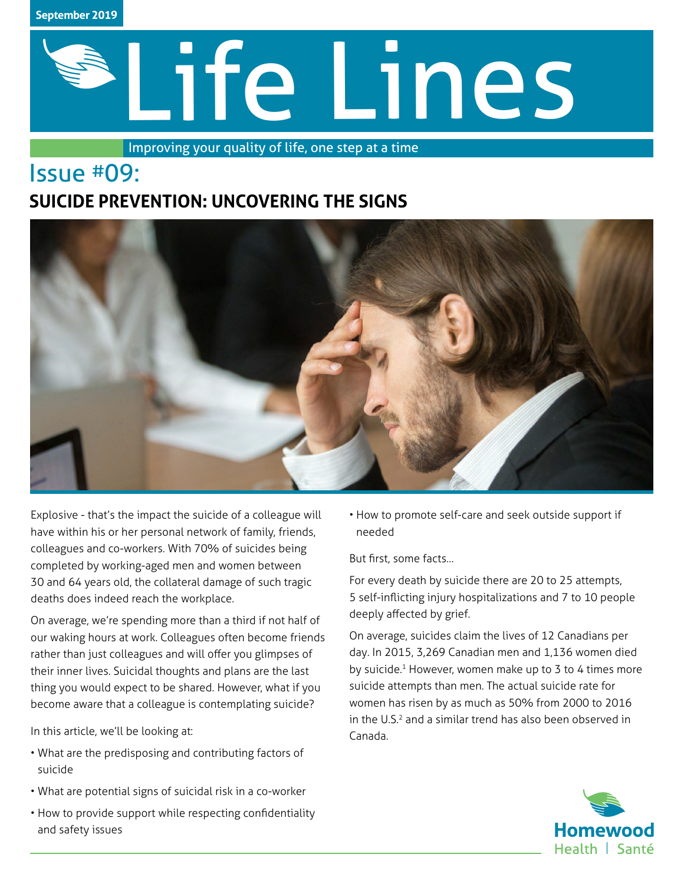

# Life Lines

Improving your quality of life, one step at a time

# Issue #09: **SUICIDE PREVENTION: UNCOVERING THE SIGNS**



Explosive - that's the impact the suicide of a colleague will have within his or her personal network of family, friends, colleagues and co-workers. With 70% of suicides being completed by working-aged men and women between 30 and 64 years old, the collateral damage of such tragic deaths does indeed reach the workplace.

On average, we're spending more than a third if not half of our waking hours at work. Colleagues often become friends rather than just colleagues and will offer you glimpses of their inner lives. Suicidal thoughts and plans are the last thing you would expect to be shared. However, what if you become aware that a colleague is contemplating suicide?

In this article, we'll be looking at:

- What are the predisposing and contributing factors of suicide
- What are potential signs of suicidal risk in a co-worker
- How to provide support while respecting confidentiality and safety issues

• How to promote self-care and seek outside support if needed

But first, some facts…

For every death by suicide there are 20 to 25 attempts, 5 self-inflicting injury hospitalizations and 7 to 10 people deeply affected by grief.

On average, suicides claim the lives of 12 Canadians per day. In 2015, 3,269 Canadian men and 1,136 women died by suicide.<sup>1</sup> However, women make up to 3 to 4 times more suicide attempts than men. The actual suicide rate for women has risen by as much as 50% from 2000 to 2016 in the U.S.<sup>2</sup> and a similar trend has also been observed in Canada.

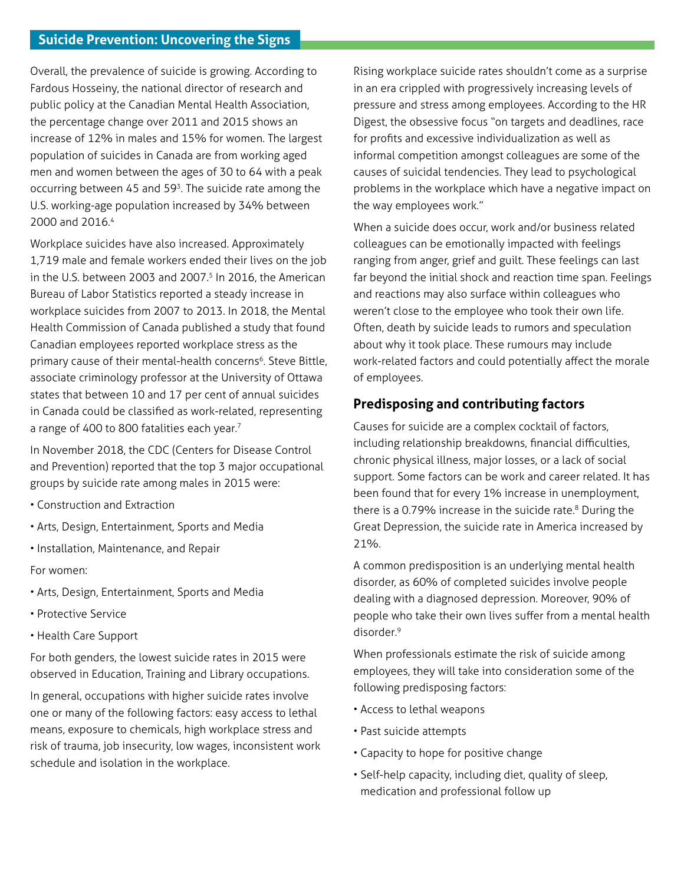Overall, the prevalence of suicide is growing. According to Fardous Hosseiny, the national director of research and public policy at the Canadian Mental Health Association, the percentage change over 2011 and 2015 shows an increase of 12% in males and 15% for women. The largest population of suicides in Canada are from working aged men and women between the ages of 30 to 64 with a peak occurring between 45 and 593. The suicide rate among the U.S. working-age population increased by 34% between 2000 and 2016.<sup>4</sup>

Workplace suicides have also increased. Approximately 1,719 male and female workers ended their lives on the job in the U.S. between 2003 and 2007. $5$  In 2016, the American Bureau of Labor Statistics reported a steady increase in workplace suicides from 2007 to 2013. In 2018, the Mental Health Commission of Canada published a study that found Canadian employees reported workplace stress as the primary cause of their mental-health concerns<sup>6</sup>. Steve Bittle, associate criminology professor at the University of Ottawa states that between 10 and 17 per cent of annual suicides in Canada could be classified as work-related, representing a range of 400 to 800 fatalities each year.<sup>7</sup>

In November 2018, the CDC (Centers for Disease Control and Prevention) reported that the top 3 major occupational groups by suicide rate among males in 2015 were:

- Construction and Extraction
- Arts, Design, Entertainment, Sports and Media
- Installation, Maintenance, and Repair
- For women:
- Arts, Design, Entertainment, Sports and Media
- Protective Service
- Health Care Support

For both genders, the lowest suicide rates in 2015 were observed in Education, Training and Library occupations.

In general, occupations with higher suicide rates involve one or many of the following factors: easy access to lethal means, exposure to chemicals, high workplace stress and risk of trauma, job insecurity, low wages, inconsistent work schedule and isolation in the workplace.

Rising workplace suicide rates shouldn't come as a surprise in an era crippled with progressively increasing levels of pressure and stress among employees. According to the HR Digest, the obsessive focus "on targets and deadlines, race for profits and excessive individualization as well as informal competition amongst colleagues are some of the causes of suicidal tendencies. They lead to psychological problems in the workplace which have a negative impact on the way employees work."

When a suicide does occur, work and/or business related colleagues can be emotionally impacted with feelings ranging from anger, grief and guilt. These feelings can last far beyond the initial shock and reaction time span. Feelings and reactions may also surface within colleagues who weren't close to the employee who took their own life. Often, death by suicide leads to rumors and speculation about why it took place. These rumours may include work-related factors and could potentially affect the morale of employees.

## **Predisposing and contributing factors**

Causes for suicide are a complex cocktail of factors, including relationship breakdowns, financial difficulties, chronic physical illness, major losses, or a lack of social support. Some factors can be work and career related. It has been found that for every 1% increase in unemployment, there is a 0.79% increase in the suicide rate.<sup>8</sup> During the Great Depression, the suicide rate in America increased by 21%.

A common predisposition is an underlying mental health disorder, as 60% of completed suicides involve people dealing with a diagnosed depression. Moreover, 90% of people who take their own lives suffer from a mental health disorder.9

When professionals estimate the risk of suicide among employees, they will take into consideration some of the following predisposing factors:

- Access to lethal weapons
- Past suicide attempts
- Capacity to hope for positive change
- Self-help capacity, including diet, quality of sleep, medication and professional follow up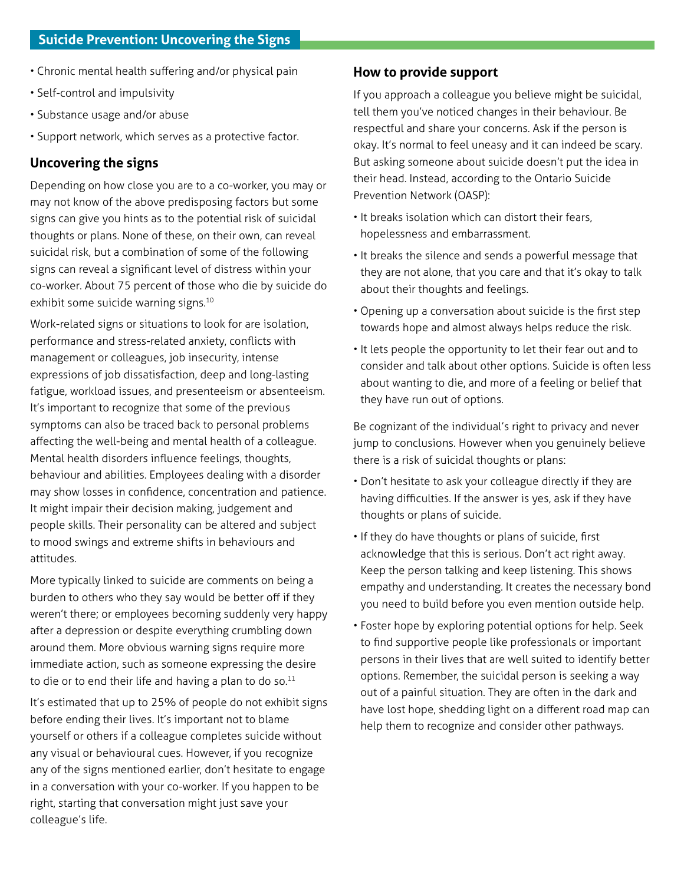- Chronic mental health suffering and/or physical pain
- Self-control and impulsivity
- Substance usage and/or abuse
- Support network, which serves as a protective factor.

### **Uncovering the signs**

Depending on how close you are to a co-worker, you may or may not know of the above predisposing factors but some signs can give you hints as to the potential risk of suicidal thoughts or plans. None of these, on their own, can reveal suicidal risk, but a combination of some of the following signs can reveal a significant level of distress within your co-worker. About 75 percent of those who die by suicide do exhibit some suicide warning signs.<sup>10</sup>

Work-related signs or situations to look for are isolation, performance and stress-related anxiety, conflicts with management or colleagues, job insecurity, intense expressions of job dissatisfaction, deep and long-lasting fatigue, workload issues, and presenteeism or absenteeism. It's important to recognize that some of the previous symptoms can also be traced back to personal problems affecting the well-being and mental health of a colleague. Mental health disorders influence feelings, thoughts, behaviour and abilities. Employees dealing with a disorder may show losses in confidence, concentration and patience. It might impair their decision making, judgement and people skills. Their personality can be altered and subject to mood swings and extreme shifts in behaviours and attitudes.

More typically linked to suicide are comments on being a burden to others who they say would be better off if they weren't there; or employees becoming suddenly very happy after a depression or despite everything crumbling down around them. More obvious warning signs require more immediate action, such as someone expressing the desire to die or to end their life and having a plan to do so. $11$ 

It's estimated that up to 25% of people do not exhibit signs before ending their lives. It's important not to blame yourself or others if a colleague completes suicide without any visual or behavioural cues. However, if you recognize any of the signs mentioned earlier, don't hesitate to engage in a conversation with your co-worker. If you happen to be right, starting that conversation might just save your colleague's life.

### **How to provide support**

If you approach a colleague you believe might be suicidal, tell them you've noticed changes in their behaviour. Be respectful and share your concerns. Ask if the person is okay. It's normal to feel uneasy and it can indeed be scary. But asking someone about suicide doesn't put the idea in their head. Instead, according to the Ontario Suicide Prevention Network (OASP):

- It breaks isolation which can distort their fears, hopelessness and embarrassment.
- It breaks the silence and sends a powerful message that they are not alone, that you care and that it's okay to talk about their thoughts and feelings.
- Opening up a conversation about suicide is the first step towards hope and almost always helps reduce the risk.
- It lets people the opportunity to let their fear out and to consider and talk about other options. Suicide is often less about wanting to die, and more of a feeling or belief that they have run out of options.

Be cognizant of the individual's right to privacy and never jump to conclusions. However when you genuinely believe there is a risk of suicidal thoughts or plans:

- Don't hesitate to ask your colleague directly if they are having difficulties. If the answer is yes, ask if they have thoughts or plans of suicide.
- If they do have thoughts or plans of suicide, first acknowledge that this is serious. Don't act right away. Keep the person talking and keep listening. This shows empathy and understanding. It creates the necessary bond you need to build before you even mention outside help.
- Foster hope by exploring potential options for help. Seek to find supportive people like professionals or important persons in their lives that are well suited to identify better options. Remember, the suicidal person is seeking a way out of a painful situation. They are often in the dark and have lost hope, shedding light on a different road map can help them to recognize and consider other pathways.